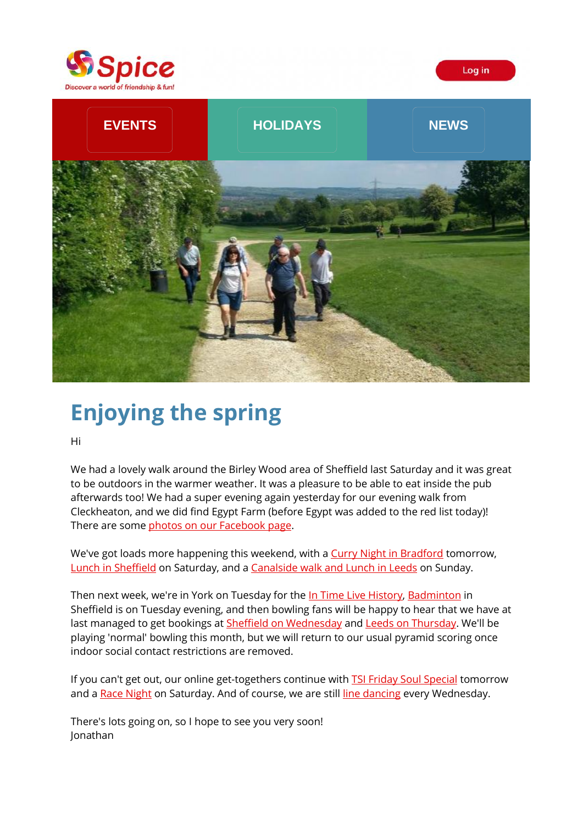



# **Enjoying the spring**

Hi

We had a lovely walk around the Birley Wood area of Sheffield last Saturday and it was great to be outdoors in the warmer weather. It was a pleasure to be able to eat inside the pub afterwards too! We had a super evening again yesterday for our evening walk from Cleckheaton, and we did find Egypt Farm (before Egypt was added to the red list today)! There are some [photos on our Facebook page.](https://spiceuk.lt.acemlna.com/Prod/link-tracker?redirectUrl=aHR0cHMlM0ElMkYlMkZ3d3cuZmFjZWJvb2suY29tJTJGU3BpY2VZb3Jrc2hpcmUlMkZwaG90b3M=&a=650344965&account=spiceuk%2Eactivehosted%2Ecom&email=1lNuJE%2BrfgC%2F8jRYTdcwIV8mo4ad0FCroTtAVDq%2FbzQ%3D&s=b900027c55ea3ffe9431fd4817f89468&i=108A126A4A2245)

We've got loads more happening this weekend, with a [Curry Night in Bradford](https://spiceuk.lt.acemlna.com/Prod/link-tracker?redirectUrl=aHR0cHMlM0ElMkYlMkZ3d3cuc3BpY2V1ay5jb20lMkZldmVudHMtaG9saWRheXMlMkZzcGljZS1jdXJyeS1jbHViLXZpc2l0cy1vbWFyLWtoYW5zLWJyYWRmb3Jk&a=650344965&account=spiceuk%2Eactivehosted%2Ecom&email=1lNuJE%2BrfgC%2F8jRYTdcwIV8mo4ad0FCroTtAVDq%2FbzQ%3D&s=b900027c55ea3ffe9431fd4817f89468&i=108A126A4A2271) tomorrow, [Lunch in Sheffield](https://spiceuk.lt.acemlna.com/Prod/link-tracker?redirectUrl=aHR0cHMlM0ElMkYlMkZ3d3cuc3BpY2V1ay5jb20lMkZldmVudHMtaG9saWRheXMlMkZzYXR1cmRheS1sdW5jaC1hdC10aGUtZmxvcmVudGluZS1zaGVmZmllbGQ=&a=650344965&account=spiceuk%2Eactivehosted%2Ecom&email=1lNuJE%2BrfgC%2F8jRYTdcwIV8mo4ad0FCroTtAVDq%2FbzQ%3D&s=b900027c55ea3ffe9431fd4817f89468&i=108A126A4A2272) on Saturday, and a [Canalside walk and Lunch in Leeds](https://spiceuk.lt.acemlna.com/Prod/link-tracker?redirectUrl=aHR0cHMlM0ElMkYlMkZ3d3cuc3BpY2V1ay5jb20lMkZldmVudHMtaG9saWRheXMlMkZsZWVkcy1jYW5hbC13YWxrLWFuZC1vdXRkb29yLWx1bmNoLTA2LWp1bi0yMQ==&a=650344965&account=spiceuk%2Eactivehosted%2Ecom&email=1lNuJE%2BrfgC%2F8jRYTdcwIV8mo4ad0FCroTtAVDq%2FbzQ%3D&s=b900027c55ea3ffe9431fd4817f89468&i=108A126A4A2273) on Sunday.

Then next week, we're in York on Tuesday for the In [Time Live History,](https://spiceuk.lt.acemlna.com/Prod/link-tracker?redirectUrl=aHR0cHMlM0ElMkYlMkZ3d3cuc3BpY2V1ay5jb20lMkZldmVudHMtaG9saWRheXMlMkZpbi10aW1lLWxpdmUtaGlzdG9yeS1zaG93LWluLXlvcms=&a=650344965&account=spiceuk%2Eactivehosted%2Ecom&email=1lNuJE%2BrfgC%2F8jRYTdcwIV8mo4ad0FCroTtAVDq%2FbzQ%3D&s=b900027c55ea3ffe9431fd4817f89468&i=108A126A4A2274) [Badminton](https://spiceuk.lt.acemlna.com/Prod/link-tracker?redirectUrl=aHR0cHMlM0ElMkYlMkZ3d3cuc3BpY2V1ay5jb20lMkZldmVudHMtaG9saWRheXMlMkZiYWRtaW50b24taW4tc2hlZmZpZWxkLTA4LWp1bi0yMQ==&a=650344965&account=spiceuk%2Eactivehosted%2Ecom&email=1lNuJE%2BrfgC%2F8jRYTdcwIV8mo4ad0FCroTtAVDq%2FbzQ%3D&s=b900027c55ea3ffe9431fd4817f89468&i=108A126A4A2275) in Sheffield is on Tuesday evening, and then bowling fans will be happy to hear that we have at last managed to get bookings at [Sheffield on Wednesday](https://spiceuk.lt.acemlna.com/Prod/link-tracker?redirectUrl=aHR0cHMlM0ElMkYlMkZ3d3cuc3BpY2V1ay5jb20lMkZldmVudHMtaG9saWRheXMlMkZ0ZW4tcGluLWJvd2xpbmctc2hlZmZpZWxk&a=650344965&account=spiceuk%2Eactivehosted%2Ecom&email=1lNuJE%2BrfgC%2F8jRYTdcwIV8mo4ad0FCroTtAVDq%2FbzQ%3D&s=b900027c55ea3ffe9431fd4817f89468&i=108A126A4A2276) and [Leeds on Thursday.](https://spiceuk.lt.acemlna.com/Prod/link-tracker?redirectUrl=aHR0cHMlM0ElMkYlMkZ3d3cuc3BpY2V1ay5jb20lMkZldmVudHMtaG9saWRheXMlMkZ0ZW4tcGluLWJvd2xpbmctbGVlZHMtMTAtanVuLTIx&a=650344965&account=spiceuk%2Eactivehosted%2Ecom&email=1lNuJE%2BrfgC%2F8jRYTdcwIV8mo4ad0FCroTtAVDq%2FbzQ%3D&s=b900027c55ea3ffe9431fd4817f89468&i=108A126A4A2277) We'll be playing 'normal' bowling this month, but we will return to our usual pyramid scoring once indoor social contact restrictions are removed.

If you can't get out, our online get-togethers continue with **TSI Friday Soul Special** tomorrow and a [Race Night](https://spiceuk.lt.acemlna.com/Prod/link-tracker?redirectUrl=aHR0cHMlM0ElMkYlMkZ3d3cuc3BpY2V1ay5jb20lMkZldmVudHMtaG9saWRheXMlMkZzcGljZS1leGNsdXNpdmUtb25saW5lLXJhY2UtbmlnaHQtMDUtanVuLTIx&a=650344965&account=spiceuk%2Eactivehosted%2Ecom&email=1lNuJE%2BrfgC%2F8jRYTdcwIV8mo4ad0FCroTtAVDq%2FbzQ%3D&s=b900027c55ea3ffe9431fd4817f89468&i=108A126A4A2279) on Saturday. And of course, we are still [line dancing](https://spiceuk.lt.acemlna.com/Prod/link-tracker?redirectUrl=aHR0cHMlM0ElMkYlMkZ3d3cuc3BpY2V1ay5jb20lMkZldmVudHMtaG9saWRheXMlMkZzcGljZS1leGNsdXNpdmUtb25saW5lLWxpbmUtZGFuY2UtY2xhc3Nlcy0wOS1qdW4tMjE=&a=650344965&account=spiceuk%2Eactivehosted%2Ecom&email=1lNuJE%2BrfgC%2F8jRYTdcwIV8mo4ad0FCroTtAVDq%2FbzQ%3D&s=b900027c55ea3ffe9431fd4817f89468&i=108A126A4A2280) every Wednesday.

There's lots going on, so I hope to see you very soon! Jonathan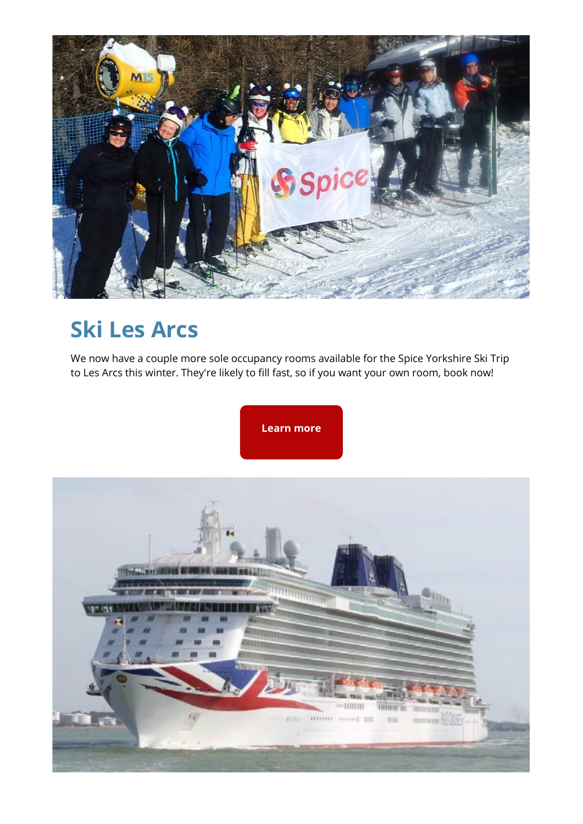

## **Ski Les Arcs**

We now have a couple more sole occupancy rooms available for the Spice Yorkshire Ski Trip to Les Arcs this winter. They're likely to fill fast, so if you want your own room, book now!

**[Learn more](https://spiceuk.lt.acemlna.com/Prod/link-tracker?redirectUrl=aHR0cHMlM0ElMkYlMkZ3d3cuc3BpY2V1ay5jb20lMkZldmVudHMtaG9saWRheXMlMkZza2ktbGVzLWFyY3Mtd2l0aC1zcGljZS15b3Jrc2hpcmU=&a=650344965&account=spiceuk%2Eactivehosted%2Ecom&email=1lNuJE%2BrfgC%2F8jRYTdcwIV8mo4ad0FCroTtAVDq%2FbzQ%3D&s=b900027c55ea3ffe9431fd4817f89468&i=108A126A4A2281)**

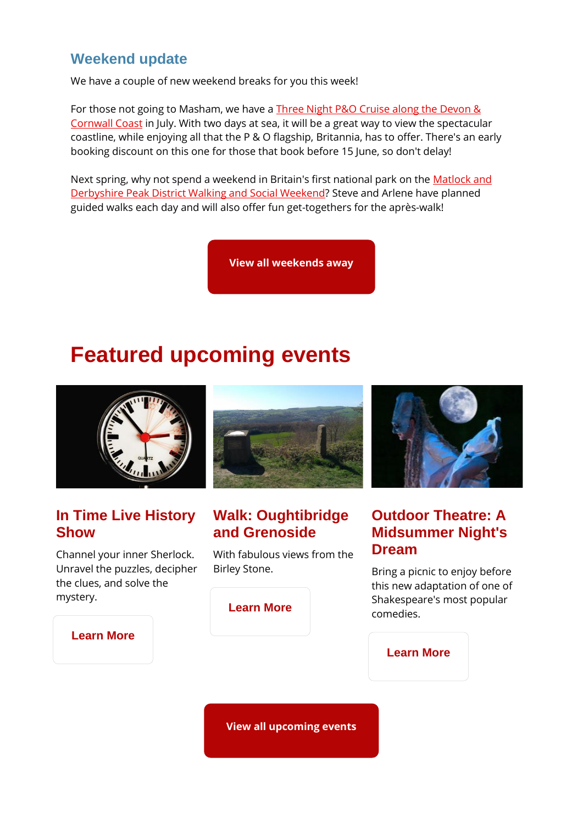#### **Weekend update**

We have a couple of new weekend breaks for you this week!

For those not going to Masham, we have a Three Night P&O Cruise along the Devon & [Cornwall Coast](https://spiceuk.lt.acemlna.com/Prod/link-tracker?redirectUrl=aHR0cHMlM0ElMkYlMkZ3d3cuc3BpY2V1ay5jb20lMkZldmVudHMtaG9saWRheXMlMkYzLW5pZ2h0LWNydWlzZS1hbG9uZy10aGUtZGV2b24tY29ybndhbGwtY29hc3Q=&a=650344965&account=spiceuk%2Eactivehosted%2Ecom&email=1lNuJE%2BrfgC%2F8jRYTdcwIV8mo4ad0FCroTtAVDq%2FbzQ%3D&s=b900027c55ea3ffe9431fd4817f89468&i=108A126A4A2282) in July. With two days at sea, it will be a great way to view the spectacular coastline, while enjoying all that the P & O flagship, Britannia, has to offer. There's an early booking discount on this one for those that book before 15 June, so don't delay!

Next spring, why not spend a weekend in Britain's first national park on the [Matlock and](https://spiceuk.lt.acemlna.com/Prod/link-tracker?redirectUrl=aHR0cHMlM0ElMkYlMkZ3d3cuc3BpY2V1ay5jb20lMkZldmVudHMtaG9saWRheXMlMkZtYXRsb2NrLWFuZC1kZXJieXNoaXJlLXBlYWstZGlzdHJpY3Qtd2Fsa2luZy1hbmQtc29jaWFsLXdlZWtlbmQtMTEtbWFyLTIy&a=650344965&account=spiceuk%2Eactivehosted%2Ecom&email=1lNuJE%2BrfgC%2F8jRYTdcwIV8mo4ad0FCroTtAVDq%2FbzQ%3D&s=b900027c55ea3ffe9431fd4817f89468&i=108A126A4A2283)  [Derbyshire Peak District Walking and Social Weekend?](https://spiceuk.lt.acemlna.com/Prod/link-tracker?redirectUrl=aHR0cHMlM0ElMkYlMkZ3d3cuc3BpY2V1ay5jb20lMkZldmVudHMtaG9saWRheXMlMkZtYXRsb2NrLWFuZC1kZXJieXNoaXJlLXBlYWstZGlzdHJpY3Qtd2Fsa2luZy1hbmQtc29jaWFsLXdlZWtlbmQtMTEtbWFyLTIy&a=650344965&account=spiceuk%2Eactivehosted%2Ecom&email=1lNuJE%2BrfgC%2F8jRYTdcwIV8mo4ad0FCroTtAVDq%2FbzQ%3D&s=b900027c55ea3ffe9431fd4817f89468&i=108A126A4A2283) Steve and Arlene have planned guided walks each day and will also offer fun get-togethers for the après-walk!

**[View all weekends away](https://spiceuk.lt.acemlna.com/Prod/link-tracker?redirectUrl=aHR0cHMlM0ElMkYlMkZ3d3cuc3BpY2V1ay5jb20lMkZldmVudHMtaG9saWRheXMlM0Zvd25lciUzREFsbCUyNm1hc3RlckNhdGVnb3J5JTNEV2Vla2VuZHMlMjUyMEF3YXk=&a=650344965&account=spiceuk%2Eactivehosted%2Ecom&email=1lNuJE%2BrfgC%2F8jRYTdcwIV8mo4ad0FCroTtAVDq%2FbzQ%3D&s=b900027c55ea3ffe9431fd4817f89468&i=108A126A4A2255)**

### **Featured upcoming events**



#### **In Time Live History Show**

Channel your inner Sherlock. Unravel the puzzles, decipher the clues, and solve the mystery.



### **Walk: Oughtibridge and Grenoside**

With fabulous views from the Birley Stone.

**[Learn More](https://spiceuk.lt.acemlna.com/Prod/link-tracker?redirectUrl=aHR0cHMlM0ElMkYlMkZ3d3cuc3BpY2V1ay5jb20lMkZldmVudHMtaG9saWRheXMlMkZ3YWxrLW91Z2h0aWJyaWRnZS1hbmQtZ3Jlbm9zaWRl&a=650344965&account=spiceuk%2Eactivehosted%2Ecom&email=1lNuJE%2BrfgC%2F8jRYTdcwIV8mo4ad0FCroTtAVDq%2FbzQ%3D&s=b900027c55ea3ffe9431fd4817f89468&i=108A126A4A2284)**



#### **Outdoor Theatre: A Midsummer Night's Dream**

Bring a picnic to enjoy before this new adaptation of one of Shakespeare's most popular comedies.

#### **[Learn More](https://spiceuk.lt.acemlna.com/Prod/link-tracker?redirectUrl=aHR0cHMlM0ElMkYlMkZ3d3cuc3BpY2V1ay5jb20lMkZldmVudHMtaG9saWRheXMlMkZvdXRkb29yLXRoZWF0cmUtYS1taWRzdW1tZXItbmlnaHRzLWRyZWFtLWluLXNoZWZmaWVsZC0xOC1qdW4tMjE=&a=650344965&account=spiceuk%2Eactivehosted%2Ecom&email=1lNuJE%2BrfgC%2F8jRYTdcwIV8mo4ad0FCroTtAVDq%2FbzQ%3D&s=b900027c55ea3ffe9431fd4817f89468&i=108A126A4A2285)**

**[Learn More](https://spiceuk.lt.acemlna.com/Prod/link-tracker?redirectUrl=aHR0cHMlM0ElMkYlMkZ3d3cuc3BpY2V1ay5jb20lMkZldmVudHMtaG9saWRheXMlMkZpbi10aW1lLWxpdmUtaGlzdG9yeS1zaG93LWluLXlvcms=&a=650344965&account=spiceuk%2Eactivehosted%2Ecom&email=1lNuJE%2BrfgC%2F8jRYTdcwIV8mo4ad0FCroTtAVDq%2FbzQ%3D&s=b900027c55ea3ffe9431fd4817f89468&i=108A126A4A2274)**

**[View all upcoming events](https://spiceuk.lt.acemlna.com/Prod/link-tracker?redirectUrl=aHR0cHMlM0ElMkYlMkZ3d3cuc3BpY2V1ay5jb20lMkZldmVudHMtaG9saWRheXMlM0ZtYXN0ZXJDYXRlZ29yeSUzREFsbCUyNmNhdGVnb3J5JTNEQWxsJTI2b3duZXIlM0RBbGw=&a=650344965&account=spiceuk%2Eactivehosted%2Ecom&email=1lNuJE%2BrfgC%2F8jRYTdcwIV8mo4ad0FCroTtAVDq%2FbzQ%3D&s=b900027c55ea3ffe9431fd4817f89468&i=108A126A4A2259)**